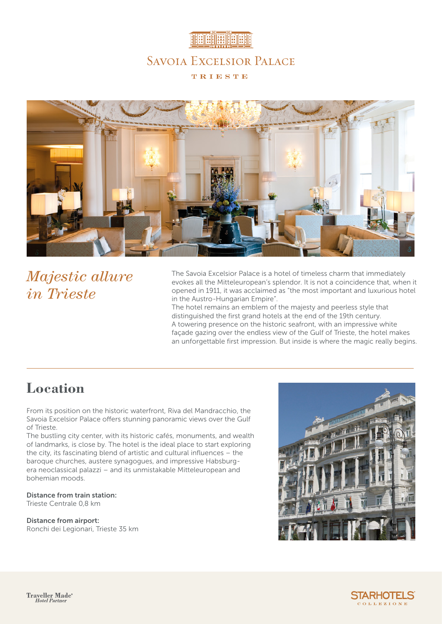



# *Majestic allure in Trieste*

The Savoia Excelsior Palace is a hotel of timeless charm that immediately evokes all the Mitteleuropean's splendor. It is not a coincidence that, when it opened in 1911, it was acclaimed as "the most important and luxurious hotel in the Austro-Hungarian Empire".

The hotel remains an emblem of the majesty and peerless style that distinguished the first grand hotels at the end of the 19th century. A towering presence on the historic seafront, with an impressive white façade gazing over the endless view of the Gulf of Trieste, the hotel makes an unforgettable first impression. But inside is where the magic really begins.

### **Location**

From its position on the historic waterfront, Riva del Mandracchio, the Savoia Excelsior Palace offers stunning panoramic views over the Gulf of Trieste.

The bustling city center, with its historic cafés, monuments, and wealth of landmarks, is close by. The hotel is the ideal place to start exploring the city, its fascinating blend of artistic and cultural influences – the baroque churches, austere synagogues, and impressive Habsburgera neoclassical palazzi – and its unmistakable Mitteleuropean and bohemian moods.

Distance from train station: Trieste Centrale 0,8 km

Distance from airport: Ronchi dei Legionari, Trieste 35 km